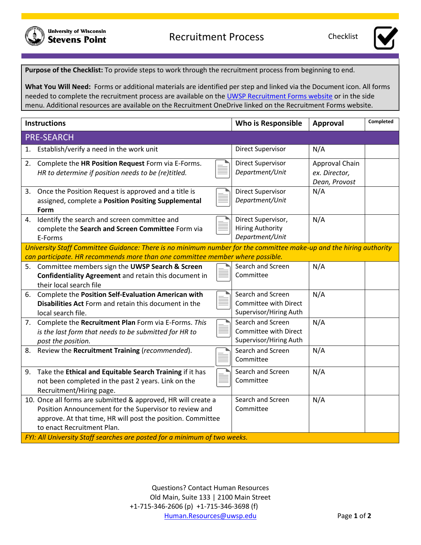



**Purpose of the Checklist:** To provide steps to work through the recruitment process from beginning to end.

**What You Will Need:** Forms or additional materials are identified per step and linked via the Document icon. All forms needed to complete the recruitment process are available on the UWSP [Recruitment Forms website](https://www.uwsp.edu/hr/Pages/Recruiting/Recruitment-Hiring-Process.aspx) or in the side menu. Additional resources are available on the Recruitment OneDrive linked on the Recruitment Forms website.

| <b>Instructions</b>                                                                                                                                                                                                                                                                               | Who is Responsible                                                   | <b>Approval</b>                                  | Completed |  |
|---------------------------------------------------------------------------------------------------------------------------------------------------------------------------------------------------------------------------------------------------------------------------------------------------|----------------------------------------------------------------------|--------------------------------------------------|-----------|--|
| <b>PRE-SEARCH</b>                                                                                                                                                                                                                                                                                 |                                                                      |                                                  |           |  |
| 1. Establish/verify a need in the work unit                                                                                                                                                                                                                                                       | Direct Supervisor                                                    | N/A                                              |           |  |
| Complete the HR Position Request Form via E-Forms.<br>2.<br>HR to determine if position needs to be (re)titled.                                                                                                                                                                                   | <b>Direct Supervisor</b><br>Department/Unit                          | Approval Chain<br>ex. Director,<br>Dean, Provost |           |  |
| 3. Once the Position Request is approved and a title is<br>assigned, complete a Position Positing Supplemental<br>Form                                                                                                                                                                            | <b>Direct Supervisor</b><br>Department/Unit                          | N/A                                              |           |  |
| 4. Identify the search and screen committee and<br>complete the Search and Screen Committee Form via<br>E-Forms                                                                                                                                                                                   | Direct Supervisor,<br><b>Hiring Authority</b><br>Department/Unit     | N/A                                              |           |  |
| University Staff Committee Guidance: There is no minimum number for the committee make-up and the hiring authority<br>can participate. HR recommends more than one committee member where possible.                                                                                               |                                                                      |                                                  |           |  |
| 5. Committee members sign the UWSP Search & Screen<br>Confidentiality Agreement and retain this document in<br>their local search file                                                                                                                                                            | Search and Screen<br>Committee                                       | N/A                                              |           |  |
| Complete the Position Self-Evaluation American with<br>6.<br>Disabilities Act Form and retain this document in the<br>local search file.                                                                                                                                                          | Search and Screen<br>Committee with Direct<br>Supervisor/Hiring Auth | N/A                                              |           |  |
| Complete the Recruitment Plan Form via E-Forms. This<br>7.<br>is the last form that needs to be submitted for HR to<br>post the position.                                                                                                                                                         | Search and Screen<br>Committee with Direct<br>Supervisor/Hiring Auth | N/A                                              |           |  |
| 8. Review the Recruitment Training (recommended).                                                                                                                                                                                                                                                 | Search and Screen<br>Committee                                       | N/A                                              |           |  |
| Take the Ethical and Equitable Search Training if it has<br>9.<br>not been completed in the past 2 years. Link on the<br>Recruitment/Hiring page.                                                                                                                                                 | Search and Screen<br>Committee                                       | N/A                                              |           |  |
| 10. Once all forms are submitted & approved, HR will create a<br>Position Announcement for the Supervisor to review and<br>approve. At that time, HR will post the position. Committee<br>to enact Recruitment Plan.<br>FYI: All University Staff searches are posted for a minimum of two weeks. | Search and Screen<br>Committee                                       | N/A                                              |           |  |